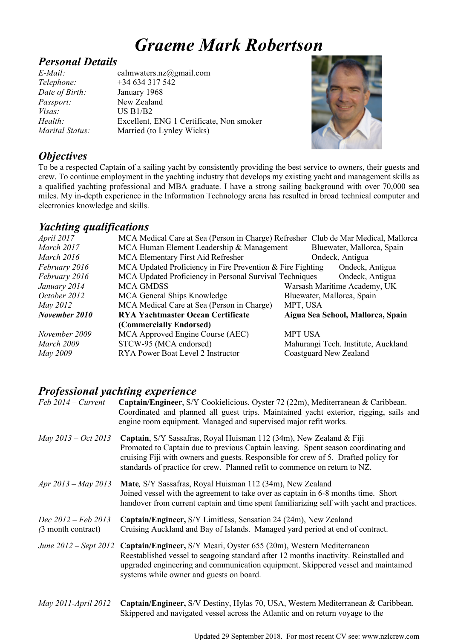# *Graeme Mark Robertson*

#### *Personal Details*

*Date of Birth:* January 1968 *Passport:* New Zealand *Visas:* US B1/B2<br>*Health:* Excellent,

*E-Mail:* calmwaters.nz@gmail.com *Telephone:* +34 634 317 542 Excellent, ENG 1 Certificate, Non smoker *Marital Status:* Married (to Lynley Wicks)



## *Objectives*

To be a respected Captain of a sailing yacht by consistently providing the best service to owners, their guests and crew. To continue employment in the yachting industry that develops my existing yacht and management skills as a qualified yachting professional and MBA graduate. I have a strong sailing background with over 70,000 sea miles. My in-depth experience in the Information Technology arena has resulted in broad technical computer and electronics knowledge and skills.

#### *Yachting qualifications*

| <i>April</i> 2017 | MCA Medical Care at Sea (Person in Charge) Refresher Club de Mar Medical, Mallorca |                                     |  |
|-------------------|------------------------------------------------------------------------------------|-------------------------------------|--|
| March 2017        | MCA Human Element Leadership & Management                                          | Bluewater, Mallorca, Spain          |  |
| March 2016        | MCA Elementary First Aid Refresher                                                 | Ondeck, Antigua                     |  |
| February 2016     | MCA Updated Proficiency in Fire Prevention & Fire Fighting<br>Ondeck, Antigua      |                                     |  |
| February 2016     | MCA Updated Proficiency in Personal Survival Techniques<br>Ondeck, Antigua         |                                     |  |
| January 2014      | <b>MCA GMDSS</b>                                                                   | Warsash Maritime Academy, UK        |  |
| October 2012      | MCA General Ships Knowledge                                                        | Bluewater, Mallorca, Spain          |  |
| May 2012          | MCA Medical Care at Sea (Person in Charge)                                         | MPT, USA                            |  |
| November 2010     | <b>RYA Yachtmaster Ocean Certificate</b>                                           | Aigua Sea School, Mallorca, Spain   |  |
|                   | (Commercially Endorsed)                                                            |                                     |  |
| November 2009     | MCA Approved Engine Course (AEC)                                                   | <b>MPT USA</b>                      |  |
| March 2009        | STCW-95 (MCA endorsed)                                                             | Mahurangi Tech. Institute, Auckland |  |
| May 2009          | RYA Power Boat Level 2 Instructor                                                  | Coastguard New Zealand              |  |
|                   |                                                                                    |                                     |  |

## *Professional yachting experience*

| $Feb 2014 - Current$                      | Captain/Engineer, S/Y Cookielicious, Oyster 72 (22m), Mediterranean & Caribbean.<br>Coordinated and planned all guest trips. Maintained yacht exterior, rigging, sails and<br>engine room equipment. Managed and supervised major refit works.                                                                                 |
|-------------------------------------------|--------------------------------------------------------------------------------------------------------------------------------------------------------------------------------------------------------------------------------------------------------------------------------------------------------------------------------|
| May $2013 - Oct$ 2013                     | Captain, S/Y Sassafras, Royal Huisman 112 (34m), New Zealand & Fiji<br>Promoted to Captain due to previous Captain leaving. Spent season coordinating and<br>cruising Fiji with owners and guests. Responsible for crew of 5. Drafted policy for<br>standards of practice for crew. Planned refit to commence on return to NZ. |
| Apr $2013 - May 2013$                     | Mate, S/Y Sassafras, Royal Huisman 112 (34m), New Zealand<br>Joined vessel with the agreement to take over as captain in 6-8 months time. Short<br>handover from current captain and time spent familiarizing self with yacht and practices.                                                                                   |
| Dec 2012 – Feb 2013<br>(3 month contract) | Captain/Engineer, S/Y Limitless, Sensation 24 (24m), New Zealand<br>Cruising Auckland and Bay of Islands. Managed yard period at end of contract.                                                                                                                                                                              |
|                                           | June 2012 – Sept 2012 Captain/Engineer, S/Y Meari, Oyster 655 (20m), Western Mediterranean<br>Reestablished vessel to seagoing standard after 12 months inactivity. Reinstalled and<br>upgraded engineering and communication equipment. Skippered vessel and maintained<br>systems while owner and guests on board.           |
| May 2011-April 2012                       | Captain/Engineer, S/V Destiny, Hylas 70, USA, Western Mediterranean & Caribbean.<br>Skippered and navigated vessel across the Atlantic and on return voyage to the                                                                                                                                                             |